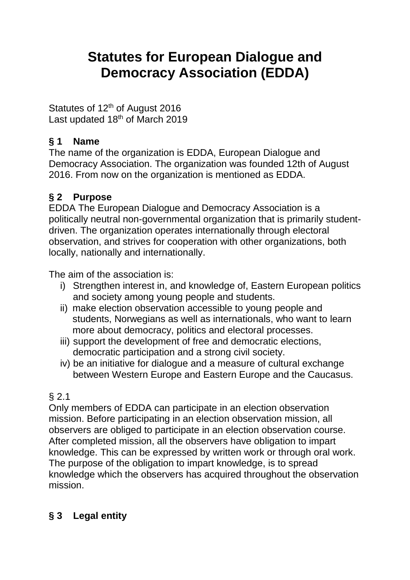# **Statutes for European Dialogue and Democracy Association (EDDA)**

Statutes of 12<sup>th</sup> of August 2016 Last updated 18<sup>th</sup> of March 2019

## **§ 1 Name**

The name of the organization is EDDA, European Dialogue and Democracy Association. The organization was founded 12th of August 2016. From now on the organization is mentioned as EDDA.

## **§ 2 Purpose**

EDDA The European Dialogue and Democracy Association is a politically neutral non-governmental organization that is primarily studentdriven. The organization operates internationally through electoral observation, and strives for cooperation with other organizations, both locally, nationally and internationally.

The aim of the association is:

- i) Strengthen interest in, and knowledge of, Eastern European politics and society among young people and students.
- ii) make election observation accessible to young people and students, Norwegians as well as internationals, who want to learn more about democracy, politics and electoral processes.
- iii) support the development of free and democratic elections, democratic participation and a strong civil society.
- iv) be an initiative for dialogue and a measure of cultural exchange between Western Europe and Eastern Europe and the Caucasus.

# § 2.1

Only members of EDDA can participate in an election observation mission. Before participating in an election observation mission, all observers are obliged to participate in an election observation course. After completed mission, all the observers have obligation to impart knowledge. This can be expressed by written work or through oral work. The purpose of the obligation to impart knowledge, is to spread knowledge which the observers has acquired throughout the observation mission.

## **§ 3 Legal entity**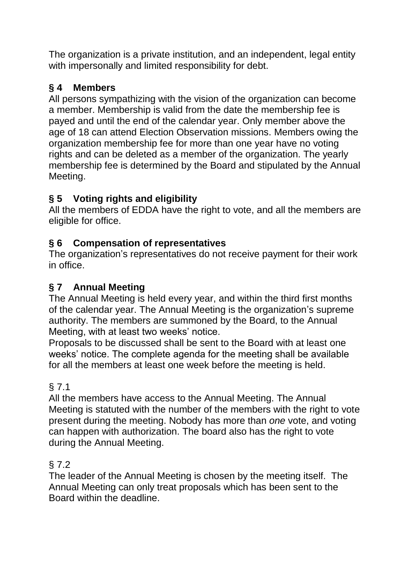The organization is a private institution, and an independent, legal entity with impersonally and limited responsibility for debt.

## **§ 4 Members**

All persons sympathizing with the vision of the organization can become a member. Membership is valid from the date the membership fee is payed and until the end of the calendar year. Only member above the age of 18 can attend Election Observation missions. Members owing the organization membership fee for more than one year have no voting rights and can be deleted as a member of the organization. The yearly membership fee is determined by the Board and stipulated by the Annual Meeting.

## **§ 5 Voting rights and eligibility**

All the members of EDDA have the right to vote, and all the members are eligible for office.

#### **§ 6 Compensation of representatives**

The organization's representatives do not receive payment for their work in office.

## **§ 7 Annual Meeting**

The Annual Meeting is held every year, and within the third first months of the calendar year. The Annual Meeting is the organization's supreme authority. The members are summoned by the Board, to the Annual Meeting, with at least two weeks' notice.

Proposals to be discussed shall be sent to the Board with at least one weeks' notice. The complete agenda for the meeting shall be available for all the members at least one week before the meeting is held.

#### § 7.1

All the members have access to the Annual Meeting. The Annual Meeting is statuted with the number of the members with the right to vote present during the meeting. Nobody has more than *one* vote, and voting can happen with authorization. The board also has the right to vote during the Annual Meeting.

#### § 7.2

The leader of the Annual Meeting is chosen by the meeting itself. The Annual Meeting can only treat proposals which has been sent to the Board within the deadline.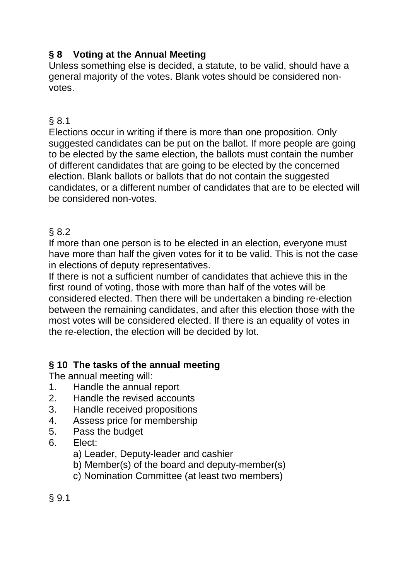## **§ 8 Voting at the Annual Meeting**

Unless something else is decided, a statute, to be valid, should have a general majority of the votes. Blank votes should be considered nonvotes.

## § 8.1

Elections occur in writing if there is more than one proposition. Only suggested candidates can be put on the ballot. If more people are going to be elected by the same election, the ballots must contain the number of different candidates that are going to be elected by the concerned election. Blank ballots or ballots that do not contain the suggested candidates, or a different number of candidates that are to be elected will be considered non-votes.

## § 8.2

If more than one person is to be elected in an election, everyone must have more than half the given votes for it to be valid. This is not the case in elections of deputy representatives.

If there is not a sufficient number of candidates that achieve this in the first round of voting, those with more than half of the votes will be considered elected. Then there will be undertaken a binding re-election between the remaining candidates, and after this election those with the most votes will be considered elected. If there is an equality of votes in the re-election, the election will be decided by lot.

## **§ 10 The tasks of the annual meeting**

The annual meeting will:

- 1. Handle the annual report
- 2. Handle the revised accounts
- 3. Handle received propositions
- 4. Assess price for membership
- 5. Pass the budget
- 6. Elect:
	- a) Leader, Deputy-leader and cashier
	- b) Member(s) of the board and deputy-member(s)
	- c) Nomination Committee (at least two members)

§ 9.1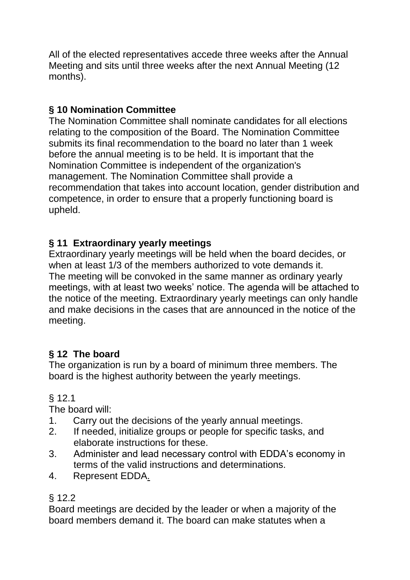All of the elected representatives accede three weeks after the Annual Meeting and sits until three weeks after the next Annual Meeting (12 months).

## **§ 10 Nomination Committee**

The Nomination Committee shall nominate candidates for all elections relating to the composition of the Board. The Nomination Committee submits its final recommendation to the board no later than 1 week before the annual meeting is to be held. It is important that the Nomination Committee is independent of the organization's management. The Nomination Committee shall provide a recommendation that takes into account location, gender distribution and competence, in order to ensure that a properly functioning board is upheld.

## **§ 11 Extraordinary yearly meetings**

Extraordinary yearly meetings will be held when the board decides, or when at least 1/3 of the members authorized to vote demands it. The meeting will be convoked in the same manner as ordinary yearly meetings, with at least two weeks' notice. The agenda will be attached to the notice of the meeting. Extraordinary yearly meetings can only handle and make decisions in the cases that are announced in the notice of the meeting.

## **§ 12 The board**

The organization is run by a board of minimum three members. The board is the highest authority between the yearly meetings.

## § 12.1

The board will:

- 1. Carry out the decisions of the yearly annual meetings.
- 2. If needed, initialize groups or people for specific tasks, and elaborate instructions for these.
- 3. Administer and lead necessary control with EDDA's economy in terms of the valid instructions and determinations.
- 4. Represent EDDA.

#### § 12.2

Board meetings are decided by the leader or when a majority of the board members demand it. The board can make statutes when a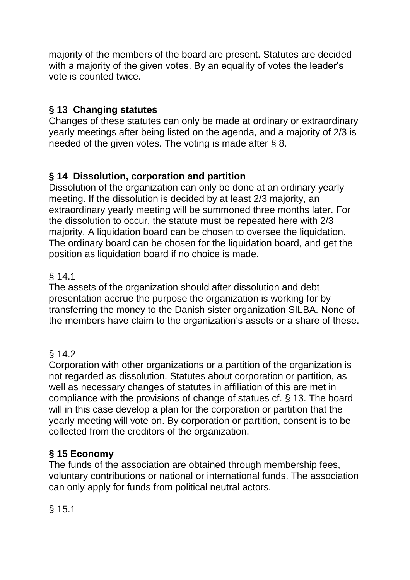majority of the members of the board are present. Statutes are decided with a majority of the given votes. By an equality of votes the leader's vote is counted twice.

## **§ 13 Changing statutes**

Changes of these statutes can only be made at ordinary or extraordinary yearly meetings after being listed on the agenda, and a majority of 2/3 is needed of the given votes. The voting is made after § 8.

#### **§ 14 Dissolution, corporation and partition**

Dissolution of the organization can only be done at an ordinary yearly meeting. If the dissolution is decided by at least 2/3 majority, an extraordinary yearly meeting will be summoned three months later. For the dissolution to occur, the statute must be repeated here with 2/3 majority. A liquidation board can be chosen to oversee the liquidation. The ordinary board can be chosen for the liquidation board, and get the position as liquidation board if no choice is made.

## § 14.1

The assets of the organization should after dissolution and debt presentation accrue the purpose the organization is working for by transferring the money to the Danish sister organization SILBA. None of the members have claim to the organization's assets or a share of these.

## $§ 14.2$

Corporation with other organizations or a partition of the organization is not regarded as dissolution. Statutes about corporation or partition, as well as necessary changes of statutes in affiliation of this are met in compliance with the provisions of change of statues cf. § 13. The board will in this case develop a plan for the corporation or partition that the yearly meeting will vote on. By corporation or partition, consent is to be collected from the creditors of the organization.

#### **§ 15 Economy**

The funds of the association are obtained through membership fees, voluntary contributions or national or international funds. The association can only apply for funds from political neutral actors.

§ 15.1